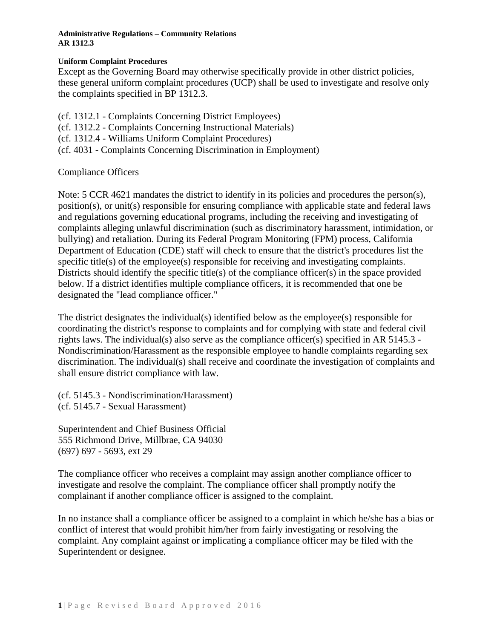### **Uniform Complaint Procedures**

Except as the Governing Board may otherwise specifically provide in other district policies, these general uniform complaint procedures (UCP) shall be used to investigate and resolve only the complaints specified in BP 1312.3.

(cf. [1312.1](http://gamutonline.net/displayPolicy/170632/1) - Complaints Concerning District Employees) (cf. [1312.2](http://gamutonline.net/displayPolicy/170635/1) - Complaints Concerning Instructional Materials) (cf. [1312.4](http://gamutonline.net/displayPolicy/936007/1) - Williams Uniform Complaint Procedures) (cf. [4031](http://gamutonline.net/displayPolicy/171687/1) - Complaints Concerning Discrimination in Employment)

# Compliance Officers

Note: 5 CCR [4621](http://gamutonline.net/displayPolicy/187024/1) mandates the district to identify in its policies and procedures the person(s), position(s), or unit(s) responsible for ensuring compliance with applicable state and federal laws and regulations governing educational programs, including the receiving and investigating of complaints alleging unlawful discrimination (such as discriminatory harassment, intimidation, or bullying) and retaliation. During its Federal Program Monitoring (FPM) process, California Department of Education (CDE) staff will check to ensure that the district's procedures list the specific title(s) of the employee(s) responsible for receiving and investigating complaints. Districts should identify the specific title(s) of the compliance officer(s) in the space provided below. If a district identifies multiple compliance officers, it is recommended that one be designated the "lead compliance officer."

The district designates the individual(s) identified below as the employee(s) responsible for coordinating the district's response to complaints and for complying with state and federal civil rights laws. The individual(s) also serve as the compliance officer(s) specified in AR 5145.3 - Nondiscrimination/Harassment as the responsible employee to handle complaints regarding sex discrimination. The individual(s) shall receive and coordinate the investigation of complaints and shall ensure district compliance with law.

(cf. [5145.3](http://gamutonline.net/displayPolicy/890899/1) - Nondiscrimination/Harassment) (cf. [5145.7](http://gamutonline.net/displayPolicy/171697/1) - Sexual Harassment)

Superintendent and Chief Business Official 555 Richmond Drive, Millbrae, CA 94030 (697) 697 - 5693, ext 29

The compliance officer who receives a complaint may assign another compliance officer to investigate and resolve the complaint. The compliance officer shall promptly notify the complainant if another compliance officer is assigned to the complaint.

In no instance shall a compliance officer be assigned to a complaint in which he/she has a bias or conflict of interest that would prohibit him/her from fairly investigating or resolving the complaint. Any complaint against or implicating a compliance officer may be filed with the Superintendent or designee.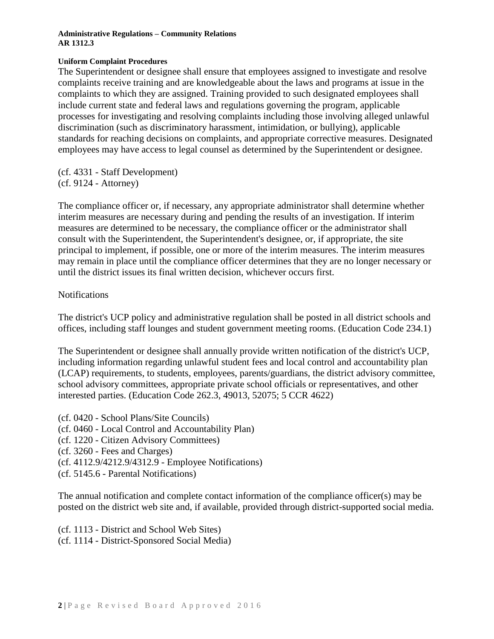### **Uniform Complaint Procedures**

The Superintendent or designee shall ensure that employees assigned to investigate and resolve complaints receive training and are knowledgeable about the laws and programs at issue in the complaints to which they are assigned. Training provided to such designated employees shall include current state and federal laws and regulations governing the program, applicable processes for investigating and resolving complaints including those involving alleged unlawful discrimination (such as discriminatory harassment, intimidation, or bullying), applicable standards for reaching decisions on complaints, and appropriate corrective measures. Designated employees may have access to legal counsel as determined by the Superintendent or designee.

(cf. [4331](http://gamutonline.net/displayPolicy/171627/1) - Staff Development) (cf. [9124](http://gamutonline.net/displayPolicy/171075/1) - Attorney)

The compliance officer or, if necessary, any appropriate administrator shall determine whether interim measures are necessary during and pending the results of an investigation. If interim measures are determined to be necessary, the compliance officer or the administrator shall consult with the Superintendent, the Superintendent's designee, or, if appropriate, the site principal to implement, if possible, one or more of the interim measures. The interim measures may remain in place until the compliance officer determines that they are no longer necessary or until the district issues its final written decision, whichever occurs first.

### **Notifications**

The district's UCP policy and administrative regulation shall be posted in all district schools and offices, including staff lounges and student government meeting rooms. (Education Code [234.1\)](http://gamutonline.net/displayPolicy/460631/1)

The Superintendent or designee shall annually provide written notification of the district's UCP, including information regarding unlawful student fees and local control and accountability plan (LCAP) requirements, to students, employees, parents/guardians, the district advisory committee, school advisory committees, appropriate private school officials or representatives, and other interested parties. (Education Code [262.3,](http://gamutonline.net/displayPolicy/138777/1) [49013,](http://gamutonline.net/displayPolicy/781186/1) [52075;](http://gamutonline.net/displayPolicy/899535/1) 5 CCR [4622\)](http://gamutonline.net/displayPolicy/187025/1)

- (cf. [0420](http://gamutonline.net/displayPolicy/993203/1) School Plans/Site Councils)
- (cf. [0460](http://gamutonline.net/displayPolicy/857369/1) Local Control and Accountability Plan)
- (cf. [1220](http://gamutonline.net/displayPolicy/170624/1) Citizen Advisory Committees)
- (cf. [3260](http://gamutonline.net/displayPolicy/909474/1) Fees and Charges)
- (cf. [4112.9/](http://gamutonline.net/displayPolicy/929964/1)[4212.9/](http://gamutonline.net/displayPolicy/929965/1)[4312.9](http://gamutonline.net/displayPolicy/929966/1) Employee Notifications)
- (cf. [5145.6](http://gamutonline.net/displayPolicy/222839/1) Parental Notifications)

The annual notification and complete contact information of the compliance officer(s) may be posted on the district web site and, if available, provided through district-supported social media.

(cf. [1113](http://gamutonline.net/displayPolicy/211084/1) - District and School Web Sites) (cf. [1114](http://gamutonline.net/displayPolicy/697130/1) - District-Sponsored Social Media)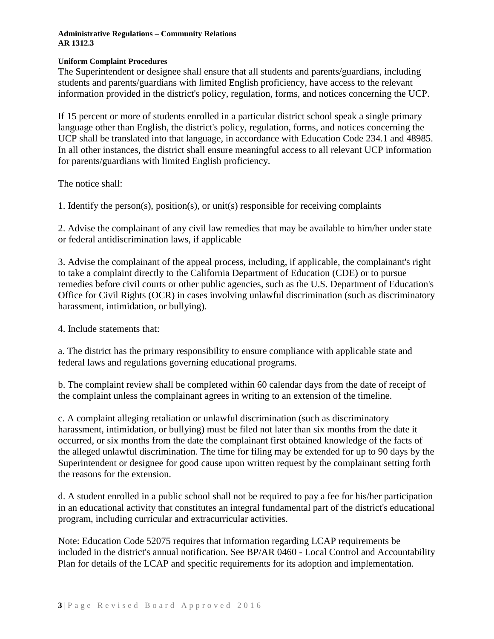### **Uniform Complaint Procedures**

The Superintendent or designee shall ensure that all students and parents/guardians, including students and parents/guardians with limited English proficiency, have access to the relevant information provided in the district's policy, regulation, forms, and notices concerning the UCP.

If 15 percent or more of students enrolled in a particular district school speak a single primary language other than English, the district's policy, regulation, forms, and notices concerning the UCP shall be translated into that language, in accordance with Education Code [234.1](http://gamutonline.net/displayPolicy/460631/1) and [48985.](http://gamutonline.net/displayPolicy/132268/1) In all other instances, the district shall ensure meaningful access to all relevant UCP information for parents/guardians with limited English proficiency.

The notice shall:

1. Identify the person(s), position(s), or unit(s) responsible for receiving complaints

2. Advise the complainant of any civil law remedies that may be available to him/her under state or federal antidiscrimination laws, if applicable

3. Advise the complainant of the appeal process, including, if applicable, the complainant's right to take a complaint directly to the California Department of Education (CDE) or to pursue remedies before civil courts or other public agencies, such as the U.S. Department of Education's Office for Civil Rights (OCR) in cases involving unlawful discrimination (such as discriminatory harassment, intimidation, or bullying).

4. Include statements that:

a. The district has the primary responsibility to ensure compliance with applicable state and federal laws and regulations governing educational programs.

b. The complaint review shall be completed within 60 calendar days from the date of receipt of the complaint unless the complainant agrees in writing to an extension of the timeline.

c. A complaint alleging retaliation or unlawful discrimination (such as discriminatory harassment, intimidation, or bullying) must be filed not later than six months from the date it occurred, or six months from the date the complainant first obtained knowledge of the facts of the alleged unlawful discrimination. The time for filing may be extended for up to 90 days by the Superintendent or designee for good cause upon written request by the complainant setting forth the reasons for the extension.

d. A student enrolled in a public school shall not be required to pay a fee for his/her participation in an educational activity that constitutes an integral fundamental part of the district's educational program, including curricular and extracurricular activities.

Note: Education Code [52075](http://gamutonline.net/displayPolicy/899535/1) requires that information regarding LCAP requirements be included in the district's annual notification. See BP/AR 0460 - Local Control and Accountability Plan for details of the LCAP and specific requirements for its adoption and implementation.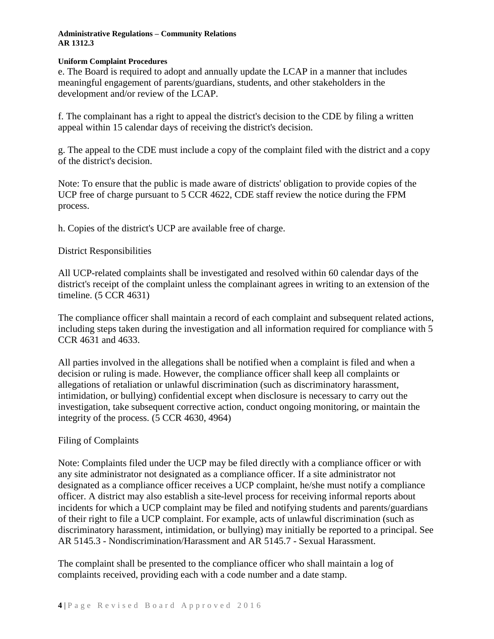### **Uniform Complaint Procedures**

e. The Board is required to adopt and annually update the LCAP in a manner that includes meaningful engagement of parents/guardians, students, and other stakeholders in the development and/or review of the LCAP.

f. The complainant has a right to appeal the district's decision to the CDE by filing a written appeal within 15 calendar days of receiving the district's decision.

g. The appeal to the CDE must include a copy of the complaint filed with the district and a copy of the district's decision.

Note: To ensure that the public is made aware of districts' obligation to provide copies of the UCP free of charge pursuant to 5 CCR [4622,](http://gamutonline.net/displayPolicy/187025/1) CDE staff review the notice during the FPM process.

h. Copies of the district's UCP are available free of charge.

# District Responsibilities

All UCP-related complaints shall be investigated and resolved within 60 calendar days of the district's receipt of the complaint unless the complainant agrees in writing to an extension of the timeline. (5 CCR [4631\)](http://gamutonline.net/displayPolicy/187027/1)

The compliance officer shall maintain a record of each complaint and subsequent related actions, including steps taken during the investigation and all information required for compliance with 5 CCR [4631](http://gamutonline.net/displayPolicy/187027/1) and [4633.](http://gamutonline.net/displayPolicy/390294/1)

All parties involved in the allegations shall be notified when a complaint is filed and when a decision or ruling is made. However, the compliance officer shall keep all complaints or allegations of retaliation or unlawful discrimination (such as discriminatory harassment, intimidation, or bullying) confidential except when disclosure is necessary to carry out the investigation, take subsequent corrective action, conduct ongoing monitoring, or maintain the integrity of the process. (5 CCR [4630,](http://gamutonline.net/displayPolicy/187026/1) [4964\)](http://gamutonline.net/displayPolicy/244921/1)

## Filing of Complaints

Note: Complaints filed under the UCP may be filed directly with a compliance officer or with any site administrator not designated as a compliance officer. If a site administrator not designated as a compliance officer receives a UCP complaint, he/she must notify a compliance officer. A district may also establish a site-level process for receiving informal reports about incidents for which a UCP complaint may be filed and notifying students and parents/guardians of their right to file a UCP complaint. For example, acts of unlawful discrimination (such as discriminatory harassment, intimidation, or bullying) may initially be reported to a principal. See AR [5145.3](http://gamutonline.net/displayPolicy/890899/1) - Nondiscrimination/Harassment and AR 5145.7 - Sexual Harassment.

The complaint shall be presented to the compliance officer who shall maintain a log of complaints received, providing each with a code number and a date stamp.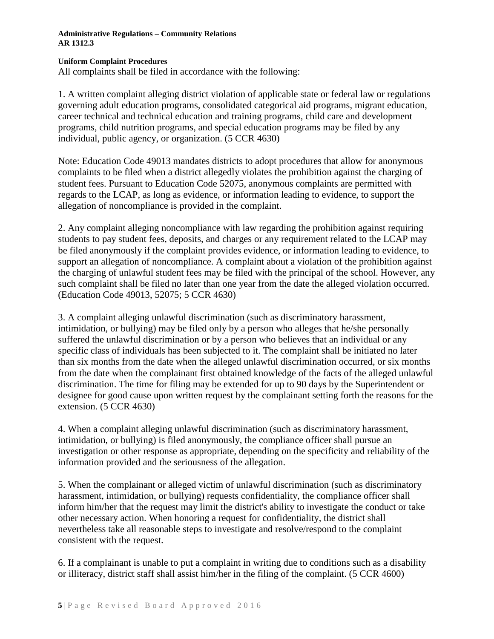### **Uniform Complaint Procedures**

All complaints shall be filed in accordance with the following:

1. A written complaint alleging district violation of applicable state or federal law or regulations governing adult education programs, consolidated categorical aid programs, migrant education, career technical and technical education and training programs, child care and development programs, child nutrition programs, and special education programs may be filed by any individual, public agency, or organization. (5 CCR [4630\)](http://gamutonline.net/displayPolicy/187026/1)

Note: Education Code [49013](http://gamutonline.net/displayPolicy/781186/1) mandates districts to adopt procedures that allow for anonymous complaints to be filed when a district allegedly violates the prohibition against the charging of student fees. Pursuant to Education Code [52075,](http://gamutonline.net/displayPolicy/899535/1) anonymous complaints are permitted with regards to the LCAP, as long as evidence, or information leading to evidence, to support the allegation of noncompliance is provided in the complaint.

2. Any complaint alleging noncompliance with law regarding the prohibition against requiring students to pay student fees, deposits, and charges or any requirement related to the LCAP may be filed anonymously if the complaint provides evidence, or information leading to evidence, to support an allegation of noncompliance. A complaint about a violation of the prohibition against the charging of unlawful student fees may be filed with the principal of the school. However, any such complaint shall be filed no later than one year from the date the alleged violation occurred. (Education Code [49013,](http://gamutonline.net/displayPolicy/781186/1) [52075;](http://gamutonline.net/displayPolicy/899535/1) 5 CCR [4630\)](http://gamutonline.net/displayPolicy/187026/1)

3. A complaint alleging unlawful discrimination (such as discriminatory harassment, intimidation, or bullying) may be filed only by a person who alleges that he/she personally suffered the unlawful discrimination or by a person who believes that an individual or any specific class of individuals has been subjected to it. The complaint shall be initiated no later than six months from the date when the alleged unlawful discrimination occurred, or six months from the date when the complainant first obtained knowledge of the facts of the alleged unlawful discrimination. The time for filing may be extended for up to 90 days by the Superintendent or designee for good cause upon written request by the complainant setting forth the reasons for the extension. (5 CCR [4630\)](http://gamutonline.net/displayPolicy/187026/1)

4. When a complaint alleging unlawful discrimination (such as discriminatory harassment, intimidation, or bullying) is filed anonymously, the compliance officer shall pursue an investigation or other response as appropriate, depending on the specificity and reliability of the information provided and the seriousness of the allegation.

5. When the complainant or alleged victim of unlawful discrimination (such as discriminatory harassment, intimidation, or bullying) requests confidentiality, the compliance officer shall inform him/her that the request may limit the district's ability to investigate the conduct or take other necessary action. When honoring a request for confidentiality, the district shall nevertheless take all reasonable steps to investigate and resolve/respond to the complaint consistent with the request.

6. If a complainant is unable to put a complaint in writing due to conditions such as a disability or illiteracy, district staff shall assist him/her in the filing of the complaint. (5 CCR [4600\)](http://gamutonline.net/displayPolicy/187020/1)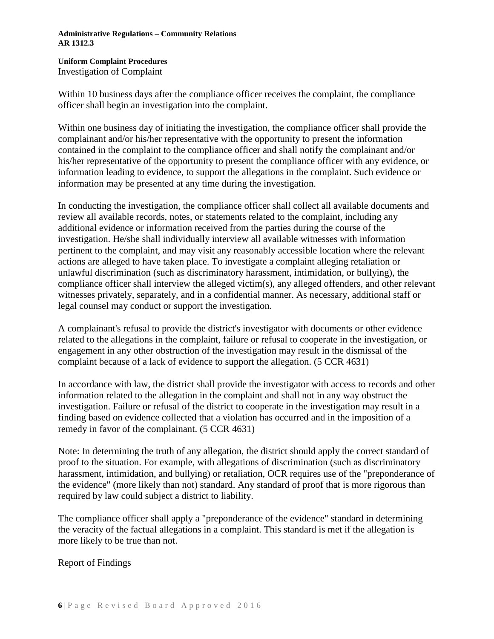### **Uniform Complaint Procedures** Investigation of Complaint

Within 10 business days after the compliance officer receives the complaint, the compliance officer shall begin an investigation into the complaint.

Within one business day of initiating the investigation, the compliance officer shall provide the complainant and/or his/her representative with the opportunity to present the information contained in the complaint to the compliance officer and shall notify the complainant and/or his/her representative of the opportunity to present the compliance officer with any evidence, or information leading to evidence, to support the allegations in the complaint. Such evidence or information may be presented at any time during the investigation.

In conducting the investigation, the compliance officer shall collect all available documents and review all available records, notes, or statements related to the complaint, including any additional evidence or information received from the parties during the course of the investigation. He/she shall individually interview all available witnesses with information pertinent to the complaint, and may visit any reasonably accessible location where the relevant actions are alleged to have taken place. To investigate a complaint alleging retaliation or unlawful discrimination (such as discriminatory harassment, intimidation, or bullying), the compliance officer shall interview the alleged victim(s), any alleged offenders, and other relevant witnesses privately, separately, and in a confidential manner. As necessary, additional staff or legal counsel may conduct or support the investigation.

A complainant's refusal to provide the district's investigator with documents or other evidence related to the allegations in the complaint, failure or refusal to cooperate in the investigation, or engagement in any other obstruction of the investigation may result in the dismissal of the complaint because of a lack of evidence to support the allegation. (5 CCR [4631\)](http://gamutonline.net/displayPolicy/187027/1)

In accordance with law, the district shall provide the investigator with access to records and other information related to the allegation in the complaint and shall not in any way obstruct the investigation. Failure or refusal of the district to cooperate in the investigation may result in a finding based on evidence collected that a violation has occurred and in the imposition of a remedy in favor of the complainant. (5 CCR [4631\)](http://gamutonline.net/displayPolicy/187027/1)

Note: In determining the truth of any allegation, the district should apply the correct standard of proof to the situation. For example, with allegations of discrimination (such as discriminatory harassment, intimidation, and bullying) or retaliation, OCR requires use of the "preponderance of the evidence" (more likely than not) standard. Any standard of proof that is more rigorous than required by law could subject a district to liability.

The compliance officer shall apply a "preponderance of the evidence" standard in determining the veracity of the factual allegations in a complaint. This standard is met if the allegation is more likely to be true than not.

Report of Findings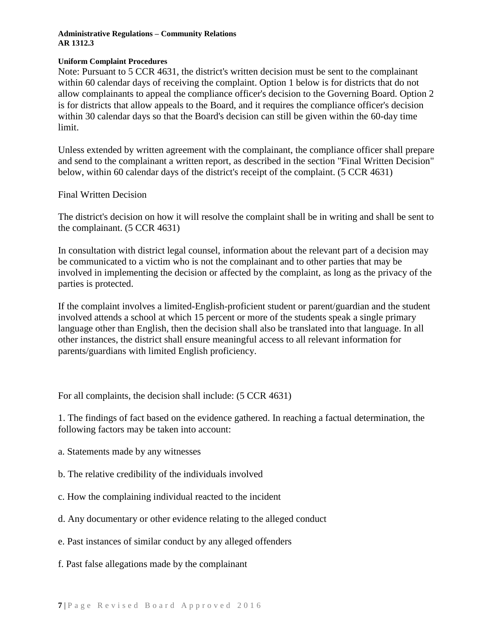### **Uniform Complaint Procedures**

Note: Pursuant to 5 CCR [4631,](http://gamutonline.net/displayPolicy/187027/1) the district's written decision must be sent to the complainant within 60 calendar days of receiving the complaint. Option 1 below is for districts that do not allow complainants to appeal the compliance officer's decision to the Governing Board. Option 2 is for districts that allow appeals to the Board, and it requires the compliance officer's decision within 30 calendar days so that the Board's decision can still be given within the 60-day time limit.

Unless extended by written agreement with the complainant, the compliance officer shall prepare and send to the complainant a written report, as described in the section "Final Written Decision" below, within 60 calendar days of the district's receipt of the complaint. (5 CCR [4631\)](http://gamutonline.net/displayPolicy/187027/1)

Final Written Decision

The district's decision on how it will resolve the complaint shall be in writing and shall be sent to the complainant. (5 CCR [4631\)](http://gamutonline.net/displayPolicy/187027/1)

In consultation with district legal counsel, information about the relevant part of a decision may be communicated to a victim who is not the complainant and to other parties that may be involved in implementing the decision or affected by the complaint, as long as the privacy of the parties is protected.

If the complaint involves a limited-English-proficient student or parent/guardian and the student involved attends a school at which 15 percent or more of the students speak a single primary language other than English, then the decision shall also be translated into that language. In all other instances, the district shall ensure meaningful access to all relevant information for parents/guardians with limited English proficiency.

For all complaints, the decision shall include: (5 CCR [4631\)](http://gamutonline.net/displayPolicy/187027/1)

1. The findings of fact based on the evidence gathered. In reaching a factual determination, the following factors may be taken into account:

- a. Statements made by any witnesses
- b. The relative credibility of the individuals involved
- c. How the complaining individual reacted to the incident
- d. Any documentary or other evidence relating to the alleged conduct
- e. Past instances of similar conduct by any alleged offenders
- f. Past false allegations made by the complainant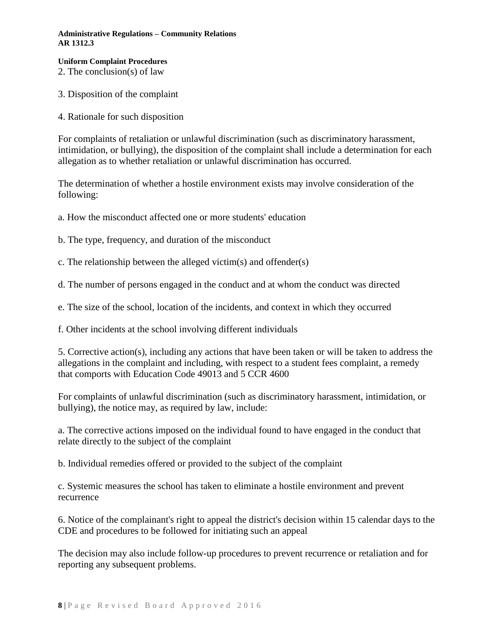### **Uniform Complaint Procedures**

2. The conclusion(s) of law

- 3. Disposition of the complaint
- 4. Rationale for such disposition

For complaints of retaliation or unlawful discrimination (such as discriminatory harassment, intimidation, or bullying), the disposition of the complaint shall include a determination for each allegation as to whether retaliation or unlawful discrimination has occurred.

The determination of whether a hostile environment exists may involve consideration of the following:

a. How the misconduct affected one or more students' education

b. The type, frequency, and duration of the misconduct

c. The relationship between the alleged victim(s) and offender(s)

d. The number of persons engaged in the conduct and at whom the conduct was directed

e. The size of the school, location of the incidents, and context in which they occurred

f. Other incidents at the school involving different individuals

5. Corrective action(s), including any actions that have been taken or will be taken to address the allegations in the complaint and including, with respect to a student fees complaint, a remedy that comports with Education Code [49013](http://gamutonline.net/displayPolicy/781186/1) and 5 CCR [4600](http://gamutonline.net/displayPolicy/187020/1)

For complaints of unlawful discrimination (such as discriminatory harassment, intimidation, or bullying), the notice may, as required by law, include:

a. The corrective actions imposed on the individual found to have engaged in the conduct that relate directly to the subject of the complaint

b. Individual remedies offered or provided to the subject of the complaint

c. Systemic measures the school has taken to eliminate a hostile environment and prevent recurrence

6. Notice of the complainant's right to appeal the district's decision within 15 calendar days to the CDE and procedures to be followed for initiating such an appeal

The decision may also include follow-up procedures to prevent recurrence or retaliation and for reporting any subsequent problems.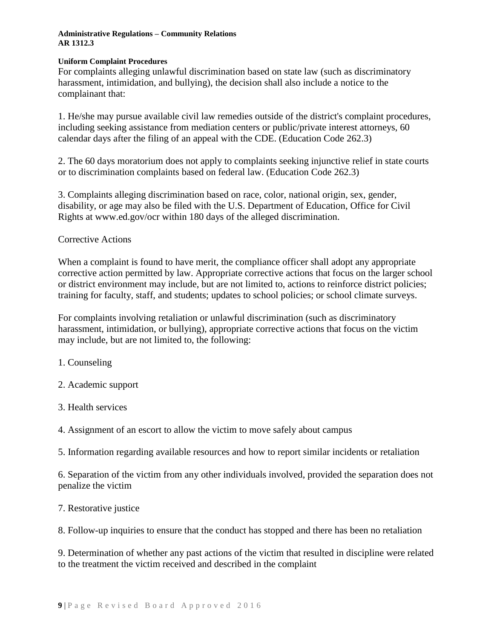### **Uniform Complaint Procedures**

For complaints alleging unlawful discrimination based on state law (such as discriminatory harassment, intimidation, and bullying), the decision shall also include a notice to the complainant that:

1. He/she may pursue available civil law remedies outside of the district's complaint procedures, including seeking assistance from mediation centers or public/private interest attorneys, 60 calendar days after the filing of an appeal with the CDE. (Education Code [262.3\)](http://gamutonline.net/displayPolicy/138777/1)

2. The 60 days moratorium does not apply to complaints seeking injunctive relief in state courts or to discrimination complaints based on federal law. (Education Code [262.3\)](http://gamutonline.net/displayPolicy/138777/1)

3. Complaints alleging discrimination based on race, color, national origin, sex, gender, disability, or age may also be filed with the U.S. Department of Education, Office for Civil Rights at www.ed.gov/ocr within 180 days of the alleged discrimination.

# Corrective Actions

When a complaint is found to have merit, the compliance officer shall adopt any appropriate corrective action permitted by law. Appropriate corrective actions that focus on the larger school or district environment may include, but are not limited to, actions to reinforce district policies; training for faculty, staff, and students; updates to school policies; or school climate surveys.

For complaints involving retaliation or unlawful discrimination (such as discriminatory harassment, intimidation, or bullying), appropriate corrective actions that focus on the victim may include, but are not limited to, the following:

- 1. Counseling
- 2. Academic support
- 3. Health services
- 4. Assignment of an escort to allow the victim to move safely about campus
- 5. Information regarding available resources and how to report similar incidents or retaliation

6. Separation of the victim from any other individuals involved, provided the separation does not penalize the victim

## 7. Restorative justice

8. Follow-up inquiries to ensure that the conduct has stopped and there has been no retaliation

9. Determination of whether any past actions of the victim that resulted in discipline were related to the treatment the victim received and described in the complaint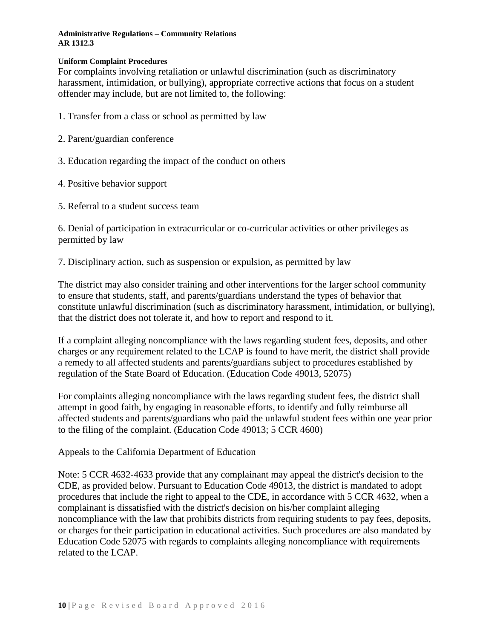### **Uniform Complaint Procedures**

For complaints involving retaliation or unlawful discrimination (such as discriminatory harassment, intimidation, or bullying), appropriate corrective actions that focus on a student offender may include, but are not limited to, the following:

- 1. Transfer from a class or school as permitted by law
- 2. Parent/guardian conference
- 3. Education regarding the impact of the conduct on others
- 4. Positive behavior support
- 5. Referral to a student success team

6. Denial of participation in extracurricular or co-curricular activities or other privileges as permitted by law

7. Disciplinary action, such as suspension or expulsion, as permitted by law

The district may also consider training and other interventions for the larger school community to ensure that students, staff, and parents/guardians understand the types of behavior that constitute unlawful discrimination (such as discriminatory harassment, intimidation, or bullying), that the district does not tolerate it, and how to report and respond to it.

If a complaint alleging noncompliance with the laws regarding student fees, deposits, and other charges or any requirement related to the LCAP is found to have merit, the district shall provide a remedy to all affected students and parents/guardians subject to procedures established by regulation of the State Board of Education. (Education Code [49013,](http://gamutonline.net/displayPolicy/781186/1) [52075\)](http://gamutonline.net/displayPolicy/899535/1)

For complaints alleging noncompliance with the laws regarding student fees, the district shall attempt in good faith, by engaging in reasonable efforts, to identify and fully reimburse all affected students and parents/guardians who paid the unlawful student fees within one year prior to the filing of the complaint. (Education Code [49013;](http://gamutonline.net/displayPolicy/781186/1) 5 CCR [4600\)](http://gamutonline.net/displayPolicy/187020/1)

Appeals to the California Department of Education

Note: 5 CCR [4632](http://gamutonline.net/displayPolicy/187028/1)[-4633](http://gamutonline.net/displayPolicy/390294/1) provide that any complainant may appeal the district's decision to the CDE, as provided below. Pursuant to Education Code [49013,](http://gamutonline.net/displayPolicy/781186/1) the district is mandated to adopt procedures that include the right to appeal to the CDE, in accordance with 5 CCR [4632,](http://gamutonline.net/displayPolicy/187028/1) when a complainant is dissatisfied with the district's decision on his/her complaint alleging noncompliance with the law that prohibits districts from requiring students to pay fees, deposits, or charges for their participation in educational activities. Such procedures are also mandated by Education Code [52075](http://gamutonline.net/displayPolicy/899535/1) with regards to complaints alleging noncompliance with requirements related to the LCAP.